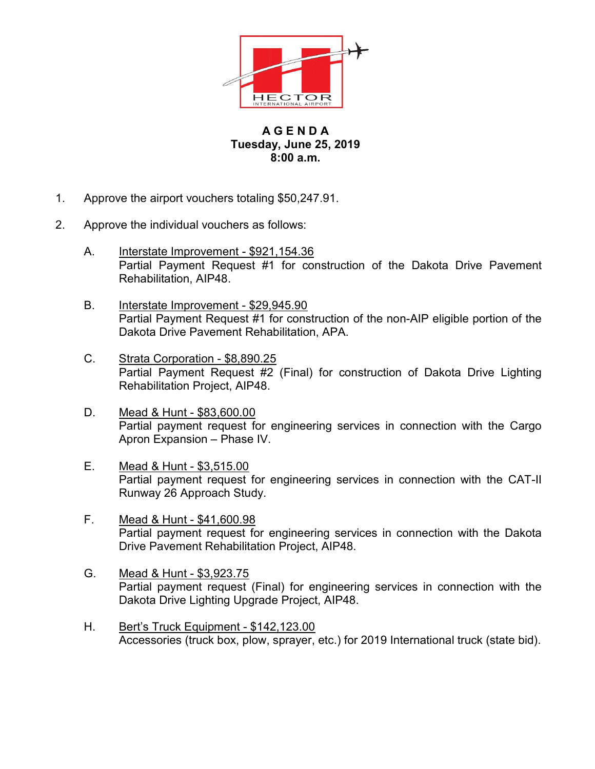

## A G E N D A Tuesday, June 25, 2019 8:00 a.m.

- 1. Approve the airport vouchers totaling \$50,247.91.
- 2. Approve the individual vouchers as follows:
	- A. Interstate Improvement \$921,154.36 Partial Payment Request #1 for construction of the Dakota Drive Pavement Rehabilitation, AIP48.
	- B. Interstate Improvement \$29,945.90 Partial Payment Request #1 for construction of the non-AIP eligible portion of the Dakota Drive Pavement Rehabilitation, APA.
	- C. Strata Corporation \$8,890.25 Partial Payment Request #2 (Final) for construction of Dakota Drive Lighting Rehabilitation Project, AIP48.
	- D. Mead & Hunt \$83,600.00 Partial payment request for engineering services in connection with the Cargo Apron Expansion – Phase IV.
	- E. Mead & Hunt \$3,515.00 Partial payment request for engineering services in connection with the CAT-II Runway 26 Approach Study.
	- F. Mead & Hunt \$41,600.98 Partial payment request for engineering services in connection with the Dakota Drive Pavement Rehabilitation Project, AIP48.
	- G. Mead & Hunt \$3,923.75 Partial payment request (Final) for engineering services in connection with the Dakota Drive Lighting Upgrade Project, AIP48.
	- H. Bert's Truck Equipment \$142,123.00 Accessories (truck box, plow, sprayer, etc.) for 2019 International truck (state bid).